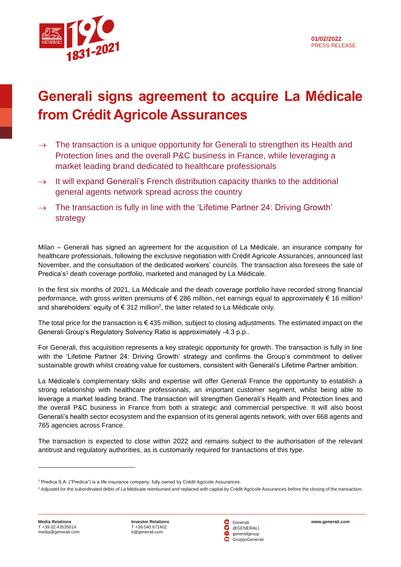

## **Generali signs agreement to acquire La Médicale from Crédit Agricole Assurances**

- $\rightarrow$  The transaction is a unique opportunity for Generali to strengthen its Health and Protection lines and the overall P&C business in France, while leveraging a market leading brand dedicated to healthcare professionals
- $\rightarrow$  It will expand Generali's French distribution capacity thanks to the additional general agents network spread across the country
- $\rightarrow$  The transaction is fully in line with the 'Lifetime Partner 24: Driving Growth' strategy

Milan – Generali has signed an agreement for the acquisition of La Médicale, an insurance company for healthcare professionals, following the exclusive negotiation with Crédit Agricole Assurances, announced last November, and the consultation of the dedicated workers' councils. The transaction also foresees the sale of Predica's<sup>1</sup> death coverage portfolio, marketed and managed by La Médicale.

In the first six months of 2021, La Médicale and the death coverage portfolio have recorded strong financial performance, with gross written premiums of  $\epsilon$  286 million, net earnings equal to approximately  $\epsilon$  16 million<sup>2</sup> and shareholders' equity of  $\epsilon$  312 million<sup>2</sup>, the latter related to La Médicale only.

The total price for the transaction is  $\epsilon$  435 million, subject to closing adjustments. The estimated impact on the Generali Group's Regulatory Solvency Ratio is approximately -4.3 p.p..

For Generali, this acquisition represents a key strategic opportunity for growth. The transaction is fully in line with the 'Lifetime Partner 24: Driving Growth' strategy and confirms the Group's commitment to deliver sustainable growth whilst creating value for customers, consistent with Generali's Lifetime Partner ambition.

La Médicale's complementary skills and expertise will offer Generali France the opportunity to establish a strong relationship with healthcare professionals, an important customer segment, whilst being able to leverage a market leading brand. The transaction will strengthen Generali's Health and Protection lines and the overall P&C business in France from both a strategic and commercial perspective. It will also boost Generali's health sector ecosystem and the expansion of its general agents network, with over 668 agents and 765 agencies across France.

The transaction is expected to close within 2022 and remains subject to the authorisation of the relevant antitrust and regulatory authorities, as is customarily required for transactions of this type.

<sup>1</sup> Predica S.A. ("Predica") is a life insurance company, fully owned by Crédit Agricole Assurances.

<sup>&</sup>lt;sup>2</sup> Adjusted for the subordinated debts of La Médicale reimbursed and replaced with capital by Crédit Agricole Assurances before the closing of the transaction.